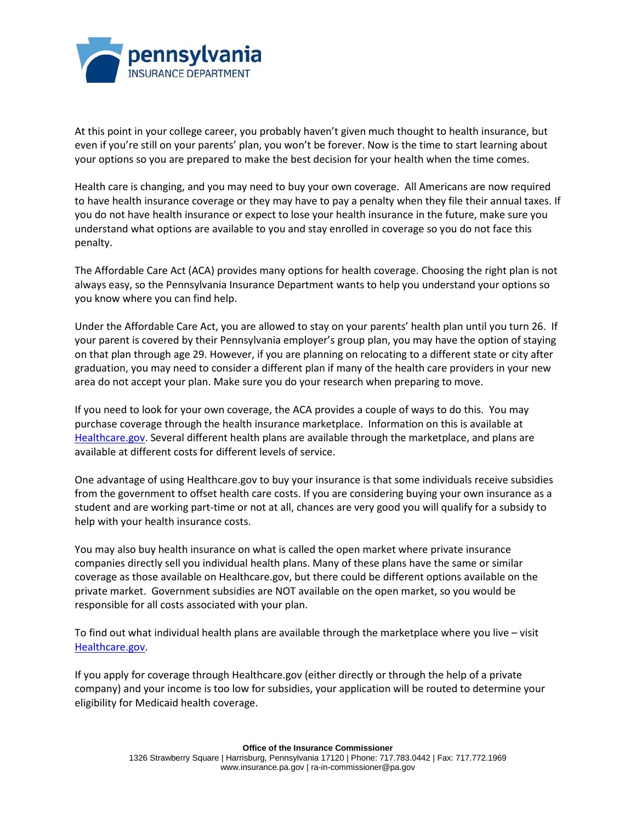

At this point in your college career, you probably haven't given much thought to health insurance, but even if you're still on your parents' plan, you won't be forever. Now is the time to start learning about your options so you are prepared to make the best decision for your health when the time comes.

Health care is changing, and you may need to buy your own coverage. All Americans are now required to have health insurance coverage or they may have to pay a penalty when they file their annual taxes. If you do not have health insurance or expect to lose your health insurance in the future, make sure you understand what options are available to you and stay enrolled in coverage so you do not face this penalty.

The Affordable Care Act (ACA) provides many options for health coverage. Choosing the right plan is not always easy, so the Pennsylvania Insurance Department wants to help you understand your options so you know where you can find help.

Under the Affordable Care Act, you are allowed to stay on your parents' health plan until you turn 26. If your parent is covered by their Pennsylvania employer's group plan, you may have the option of staying on that plan through age 29. However, if you are planning on relocating to a different state or city after graduation, you may need to consider a different plan if many of the health care providers in your new area do not accept your plan. Make sure you do your research when preparing to move.

If you need to look for your own coverage, the ACA provides a couple of ways to do this. You may purchase coverage through the health insurance marketplace. Information on this is available at [Healthcare.gov.](http://www.healthcare.gov/) Several different health plans are available through the marketplace, and plans are available at different costs for different levels of service.

One advantage of using Healthcare.gov to buy your insurance is that some individuals receive subsidies from the government to offset health care costs. If you are considering buying your own insurance as a student and are working part-time or not at all, chances are very good you will qualify for a subsidy to help with your health insurance costs.

You may also buy health insurance on what is called the open market where private insurance companies directly sell you individual health plans. Many of these plans have the same or similar coverage as those available on Healthcare.gov, but there could be different options available on the private market. Government subsidies are NOT available on the open market, so you would be responsible for all costs associated with your plan.

To find out what individual health plans are available through the marketplace where you live – visit Healthcare.gov.

If you apply for coverage through Healthcare.gov (either directly or through the help of a private company) and your income is too low for subsidies, your application will be routed to determine your eligibility for Medicaid health coverage.